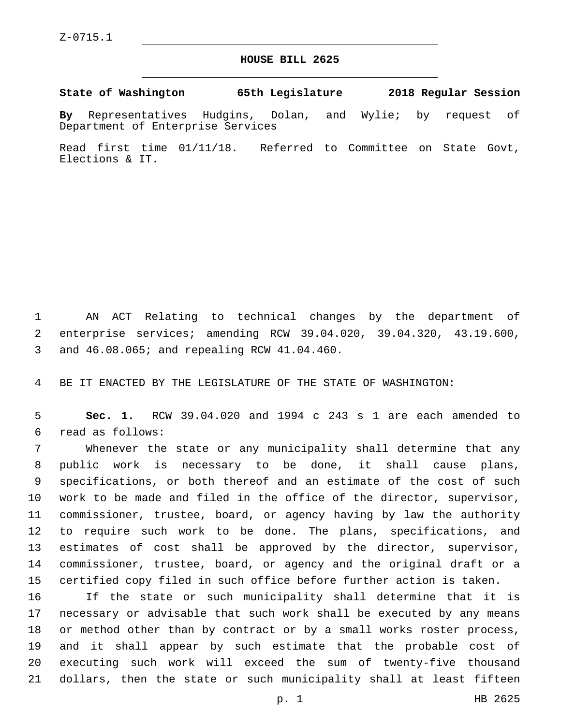## **HOUSE BILL 2625**

**State of Washington 65th Legislature 2018 Regular Session**

**By** Representatives Hudgins, Dolan, and Wylie; by request of Department of Enterprise Services

Read first time 01/11/18. Referred to Committee on State Govt, Elections & IT.

 AN ACT Relating to technical changes by the department of enterprise services; amending RCW 39.04.020, 39.04.320, 43.19.600, and 46.08.065; and repealing RCW 41.04.460.3

BE IT ENACTED BY THE LEGISLATURE OF THE STATE OF WASHINGTON:

 **Sec. 1.** RCW 39.04.020 and 1994 c 243 s 1 are each amended to read as follows:6

 Whenever the state or any municipality shall determine that any public work is necessary to be done, it shall cause plans, specifications, or both thereof and an estimate of the cost of such work to be made and filed in the office of the director, supervisor, commissioner, trustee, board, or agency having by law the authority to require such work to be done. The plans, specifications, and estimates of cost shall be approved by the director, supervisor, commissioner, trustee, board, or agency and the original draft or a certified copy filed in such office before further action is taken.

 If the state or such municipality shall determine that it is necessary or advisable that such work shall be executed by any means or method other than by contract or by a small works roster process, and it shall appear by such estimate that the probable cost of executing such work will exceed the sum of twenty-five thousand dollars, then the state or such municipality shall at least fifteen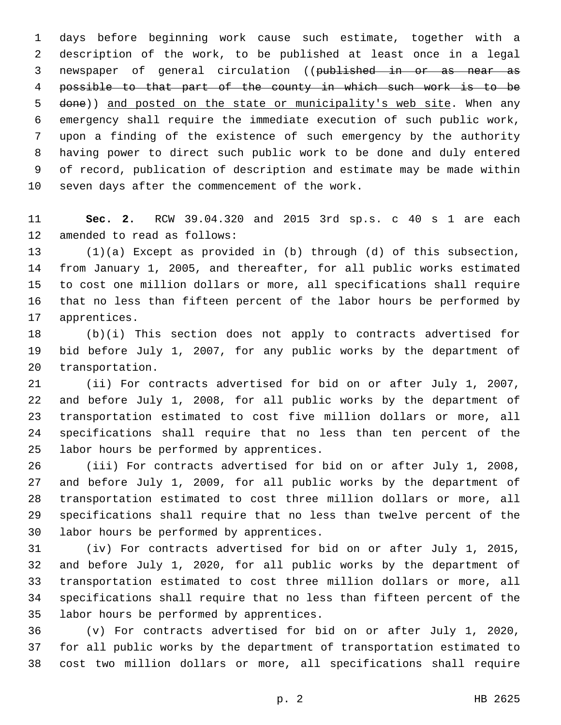days before beginning work cause such estimate, together with a description of the work, to be published at least once in a legal newspaper of general circulation ((published in or as near as possible to that part of the county in which such work is to be done)) and posted on the state or municipality's web site. When any emergency shall require the immediate execution of such public work, upon a finding of the existence of such emergency by the authority having power to direct such public work to be done and duly entered of record, publication of description and estimate may be made within 10 seven days after the commencement of the work.

 **Sec. 2.** RCW 39.04.320 and 2015 3rd sp.s. c 40 s 1 are each 12 amended to read as follows:

 (1)(a) Except as provided in (b) through (d) of this subsection, from January 1, 2005, and thereafter, for all public works estimated to cost one million dollars or more, all specifications shall require that no less than fifteen percent of the labor hours be performed by 17 apprentices.

 (b)(i) This section does not apply to contracts advertised for bid before July 1, 2007, for any public works by the department of 20 transportation.

 (ii) For contracts advertised for bid on or after July 1, 2007, and before July 1, 2008, for all public works by the department of transportation estimated to cost five million dollars or more, all specifications shall require that no less than ten percent of the 25 labor hours be performed by apprentices.

 (iii) For contracts advertised for bid on or after July 1, 2008, and before July 1, 2009, for all public works by the department of transportation estimated to cost three million dollars or more, all specifications shall require that no less than twelve percent of the 30 labor hours be performed by apprentices.

 (iv) For contracts advertised for bid on or after July 1, 2015, and before July 1, 2020, for all public works by the department of transportation estimated to cost three million dollars or more, all specifications shall require that no less than fifteen percent of the 35 labor hours be performed by apprentices.

 (v) For contracts advertised for bid on or after July 1, 2020, for all public works by the department of transportation estimated to cost two million dollars or more, all specifications shall require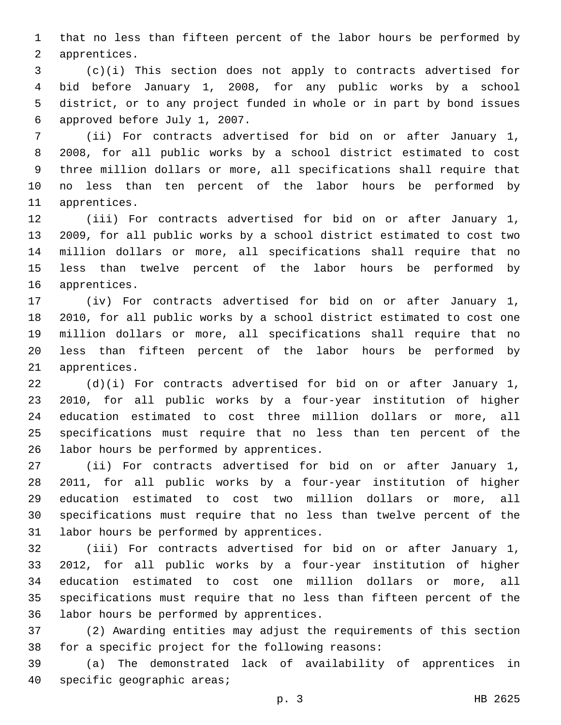that no less than fifteen percent of the labor hours be performed by 2 apprentices.

 (c)(i) This section does not apply to contracts advertised for bid before January 1, 2008, for any public works by a school district, or to any project funded in whole or in part by bond issues 6 approved before July 1, 2007.

 (ii) For contracts advertised for bid on or after January 1, 2008, for all public works by a school district estimated to cost three million dollars or more, all specifications shall require that no less than ten percent of the labor hours be performed by 11 apprentices.

 (iii) For contracts advertised for bid on or after January 1, 2009, for all public works by a school district estimated to cost two million dollars or more, all specifications shall require that no less than twelve percent of the labor hours be performed by 16 apprentices.

 (iv) For contracts advertised for bid on or after January 1, 2010, for all public works by a school district estimated to cost one million dollars or more, all specifications shall require that no less than fifteen percent of the labor hours be performed by 21 apprentices.

 (d)(i) For contracts advertised for bid on or after January 1, 2010, for all public works by a four-year institution of higher education estimated to cost three million dollars or more, all specifications must require that no less than ten percent of the 26 labor hours be performed by apprentices.

 (ii) For contracts advertised for bid on or after January 1, 2011, for all public works by a four-year institution of higher education estimated to cost two million dollars or more, all specifications must require that no less than twelve percent of the 31 labor hours be performed by apprentices.

 (iii) For contracts advertised for bid on or after January 1, 2012, for all public works by a four-year institution of higher education estimated to cost one million dollars or more, all specifications must require that no less than fifteen percent of the 36 labor hours be performed by apprentices.

 (2) Awarding entities may adjust the requirements of this section 38 for a specific project for the following reasons:

 (a) The demonstrated lack of availability of apprentices in 40 specific geographic areas;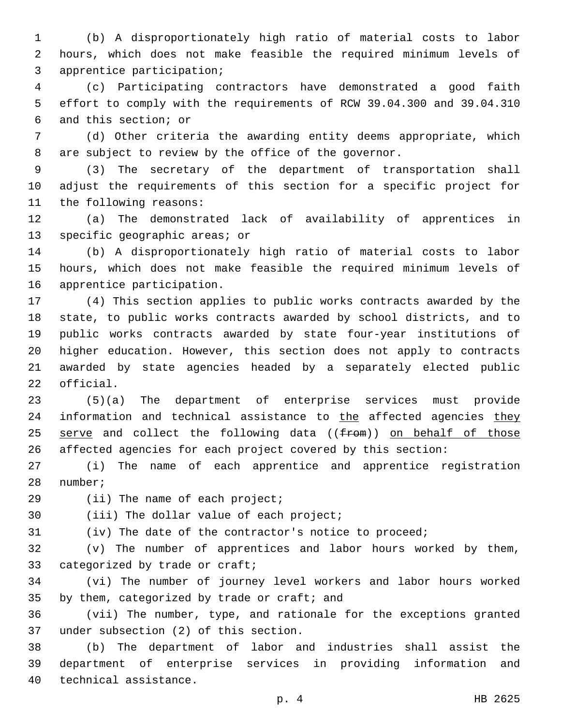(b) A disproportionately high ratio of material costs to labor hours, which does not make feasible the required minimum levels of 3 apprentice participation;

 (c) Participating contractors have demonstrated a good faith effort to comply with the requirements of RCW 39.04.300 and 39.04.310 6 and this section; or

 (d) Other criteria the awarding entity deems appropriate, which are subject to review by the office of the governor.

 (3) The secretary of the department of transportation shall adjust the requirements of this section for a specific project for 11 the following reasons:

 (a) The demonstrated lack of availability of apprentices in 13 specific geographic areas; or

 (b) A disproportionately high ratio of material costs to labor hours, which does not make feasible the required minimum levels of 16 apprentice participation.

 (4) This section applies to public works contracts awarded by the state, to public works contracts awarded by school districts, and to public works contracts awarded by state four-year institutions of higher education. However, this section does not apply to contracts awarded by state agencies headed by a separately elected public 22 official.

 (5)(a) The department of enterprise services must provide 24 information and technical assistance to the affected agencies they 25 serve and collect the following data ((from)) on behalf of those affected agencies for each project covered by this section:

 (i) The name of each apprentice and apprentice registration 28 number;

29 (ii) The name of each project;

30 (iii) The dollar value of each project;

(iv) The date of the contractor's notice to proceed;

 (v) The number of apprentices and labor hours worked by them, 33 categorized by trade or craft;

 (vi) The number of journey level workers and labor hours worked 35 by them, categorized by trade or craft; and

 (vii) The number, type, and rationale for the exceptions granted 37 under subsection (2) of this section.

 (b) The department of labor and industries shall assist the department of enterprise services in providing information and 40 technical assistance.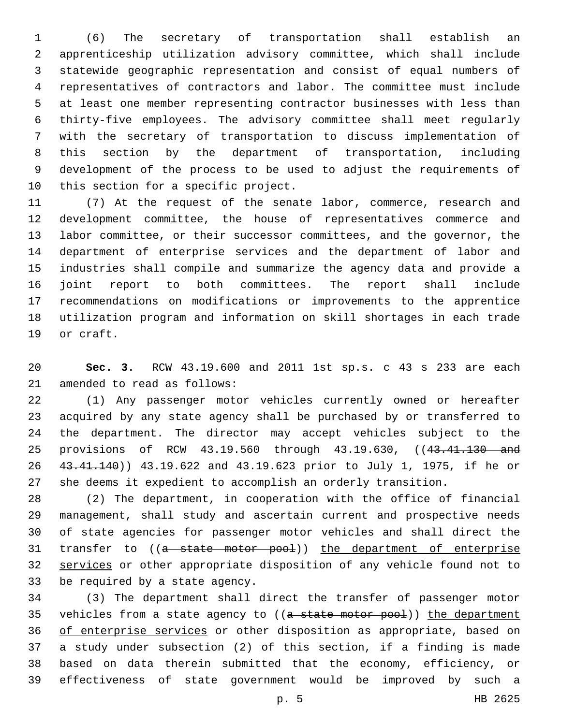(6) The secretary of transportation shall establish an apprenticeship utilization advisory committee, which shall include statewide geographic representation and consist of equal numbers of representatives of contractors and labor. The committee must include at least one member representing contractor businesses with less than thirty-five employees. The advisory committee shall meet regularly with the secretary of transportation to discuss implementation of this section by the department of transportation, including development of the process to be used to adjust the requirements of 10 this section for a specific project.

 (7) At the request of the senate labor, commerce, research and development committee, the house of representatives commerce and labor committee, or their successor committees, and the governor, the department of enterprise services and the department of labor and industries shall compile and summarize the agency data and provide a joint report to both committees. The report shall include recommendations on modifications or improvements to the apprentice utilization program and information on skill shortages in each trade 19 or craft.

 **Sec. 3.** RCW 43.19.600 and 2011 1st sp.s. c 43 s 233 are each 21 amended to read as follows:

 (1) Any passenger motor vehicles currently owned or hereafter acquired by any state agency shall be purchased by or transferred to the department. The director may accept vehicles subject to the 25 provisions of RCW 43.19.560 through 43.19.630, ((43.41.130 and 43.41.140)) 43.19.622 and 43.19.623 prior to July 1, 1975, if he or she deems it expedient to accomplish an orderly transition.

 (2) The department, in cooperation with the office of financial management, shall study and ascertain current and prospective needs of state agencies for passenger motor vehicles and shall direct the 31 transfer to ((a state motor pool)) the department of enterprise services or other appropriate disposition of any vehicle found not to 33 be required by a state agency.

 (3) The department shall direct the transfer of passenger motor 35 vehicles from a state agency to ((a state motor pool)) the department of enterprise services or other disposition as appropriate, based on a study under subsection (2) of this section, if a finding is made based on data therein submitted that the economy, efficiency, or effectiveness of state government would be improved by such a

p. 5 HB 2625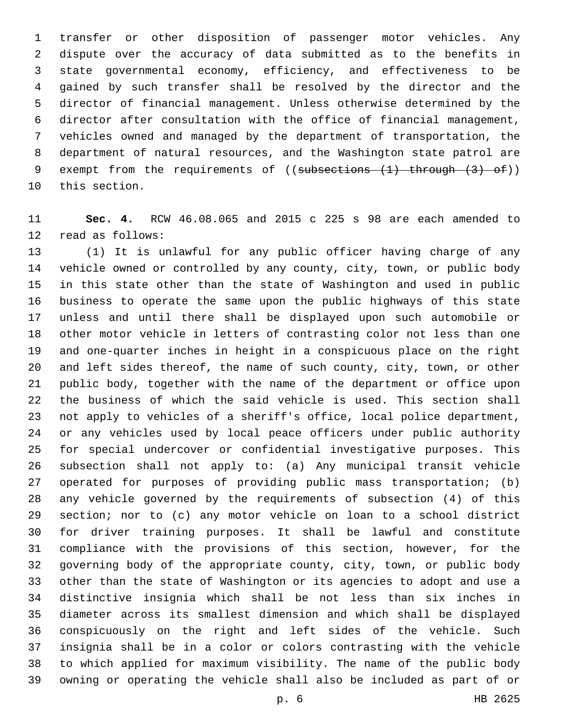transfer or other disposition of passenger motor vehicles. Any dispute over the accuracy of data submitted as to the benefits in state governmental economy, efficiency, and effectiveness to be gained by such transfer shall be resolved by the director and the director of financial management. Unless otherwise determined by the director after consultation with the office of financial management, vehicles owned and managed by the department of transportation, the department of natural resources, and the Washington state patrol are 9 exempt from the requirements of ((subsections (1) through (3) of)) 10 this section.

 **Sec. 4.** RCW 46.08.065 and 2015 c 225 s 98 are each amended to 12 read as follows:

 (1) It is unlawful for any public officer having charge of any vehicle owned or controlled by any county, city, town, or public body in this state other than the state of Washington and used in public business to operate the same upon the public highways of this state unless and until there shall be displayed upon such automobile or other motor vehicle in letters of contrasting color not less than one and one-quarter inches in height in a conspicuous place on the right and left sides thereof, the name of such county, city, town, or other public body, together with the name of the department or office upon the business of which the said vehicle is used. This section shall not apply to vehicles of a sheriff's office, local police department, or any vehicles used by local peace officers under public authority for special undercover or confidential investigative purposes. This subsection shall not apply to: (a) Any municipal transit vehicle operated for purposes of providing public mass transportation; (b) any vehicle governed by the requirements of subsection (4) of this section; nor to (c) any motor vehicle on loan to a school district for driver training purposes. It shall be lawful and constitute compliance with the provisions of this section, however, for the governing body of the appropriate county, city, town, or public body other than the state of Washington or its agencies to adopt and use a distinctive insignia which shall be not less than six inches in diameter across its smallest dimension and which shall be displayed conspicuously on the right and left sides of the vehicle. Such insignia shall be in a color or colors contrasting with the vehicle to which applied for maximum visibility. The name of the public body owning or operating the vehicle shall also be included as part of or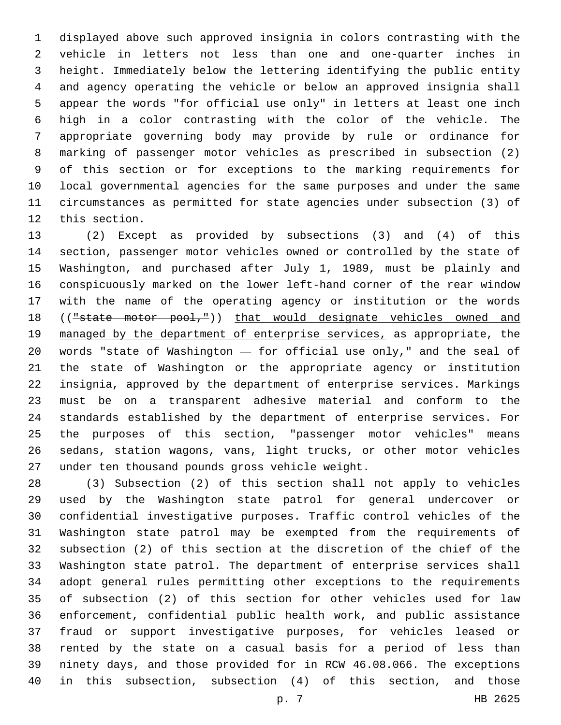displayed above such approved insignia in colors contrasting with the vehicle in letters not less than one and one-quarter inches in height. Immediately below the lettering identifying the public entity and agency operating the vehicle or below an approved insignia shall appear the words "for official use only" in letters at least one inch high in a color contrasting with the color of the vehicle. The appropriate governing body may provide by rule or ordinance for marking of passenger motor vehicles as prescribed in subsection (2) of this section or for exceptions to the marking requirements for local governmental agencies for the same purposes and under the same circumstances as permitted for state agencies under subsection (3) of 12 this section.

 (2) Except as provided by subsections (3) and (4) of this section, passenger motor vehicles owned or controlled by the state of Washington, and purchased after July 1, 1989, must be plainly and conspicuously marked on the lower left-hand corner of the rear window with the name of the operating agency or institution or the words 18 (("state motor pool,")) that would designate vehicles owned and managed by the department of enterprise services, as appropriate, the words "state of Washington — for official use only," and the seal of the state of Washington or the appropriate agency or institution insignia, approved by the department of enterprise services. Markings must be on a transparent adhesive material and conform to the standards established by the department of enterprise services. For the purposes of this section, "passenger motor vehicles" means sedans, station wagons, vans, light trucks, or other motor vehicles 27 under ten thousand pounds gross vehicle weight.

 (3) Subsection (2) of this section shall not apply to vehicles used by the Washington state patrol for general undercover or confidential investigative purposes. Traffic control vehicles of the Washington state patrol may be exempted from the requirements of subsection (2) of this section at the discretion of the chief of the Washington state patrol. The department of enterprise services shall adopt general rules permitting other exceptions to the requirements of subsection (2) of this section for other vehicles used for law enforcement, confidential public health work, and public assistance fraud or support investigative purposes, for vehicles leased or rented by the state on a casual basis for a period of less than ninety days, and those provided for in RCW 46.08.066. The exceptions in this subsection, subsection (4) of this section, and those

p. 7 HB 2625